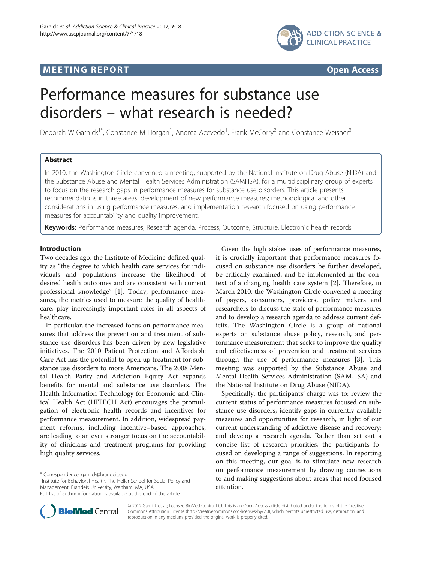# **MEETING REPORT CONSUMING A REPORT CONSUMING A REPORT CONSUMING A REPORT CONSUMING A REPORT CONSUMING A REPORT**



# Performance measures for substance use disorders – what research is needed?

Deborah W Garnick<sup>1\*</sup>, Constance M Horgan<sup>1</sup>, Andrea Acevedo<sup>1</sup>, Frank McCorry<sup>2</sup> and Constance Weisner<sup>3</sup>

# Abstract

In 2010, the Washington Circle convened a meeting, supported by the National Institute on Drug Abuse (NIDA) and the Substance Abuse and Mental Health Services Administration (SAMHSA), for a multidisciplinary group of experts to focus on the research gaps in performance measures for substance use disorders. This article presents recommendations in three areas: development of new performance measures; methodological and other considerations in using performance measures; and implementation research focused on using performance measures for accountability and quality improvement.

Keywords: Performance measures, Research agenda, Process, Outcome, Structure, Electronic health records

## Introduction

Two decades ago, the Institute of Medicine defined quality as "the degree to which health care services for individuals and populations increase the likelihood of desired health outcomes and are consistent with current professional knowledge" [[1\]](#page-9-0). Today, performance measures, the metrics used to measure the quality of healthcare, play increasingly important roles in all aspects of healthcare.

In particular, the increased focus on performance measures that address the prevention and treatment of substance use disorders has been driven by new legislative initiatives. The 2010 Patient Protection and Affordable Care Act has the potential to open up treatment for substance use disorders to more Americans. The 2008 Mental Health Parity and Addiction Equity Act expands benefits for mental and substance use disorders. The Health Information Technology for Economic and Clinical Health Act (HITECH Act) encourages the promulgation of electronic health records and incentives for performance measurement. In addition, widespread payment reforms, including incentive–based approaches, are leading to an ever stronger focus on the accountability of clinicians and treatment programs for providing high quality services.

\* Correspondence: [garnick@brandeis.edu](mailto:garnick@brandeis.edu) <sup>1</sup>

<sup>1</sup> Institute for Behavioral Health, The Heller School for Social Policy and Management, Brandeis University, Waltham, MA, USA



Specifically, the participants' charge was to: review the current status of performance measures focused on substance use disorders; identify gaps in currently available measures and opportunities for research, in light of our current understanding of addictive disease and recovery; and develop a research agenda. Rather than set out a concise list of research priorities, the participants focused on developing a range of suggestions. In reporting on this meeting, our goal is to stimulate new research on performance measurement by drawing connections to and making suggestions about areas that need focused attention.



© 2012 Garnick et al.; licensee BioMed Central Ltd. This is an Open Access article distributed under the terms of the Creative Commons Attribution License [\(http://creativecommons.org/licenses/by/2.0\)](http://creativecommons.org/licenses/by/2.0), which permits unrestricted use, distribution, and reproduction in any medium, provided the original work is properly cited.

Full list of author information is available at the end of the article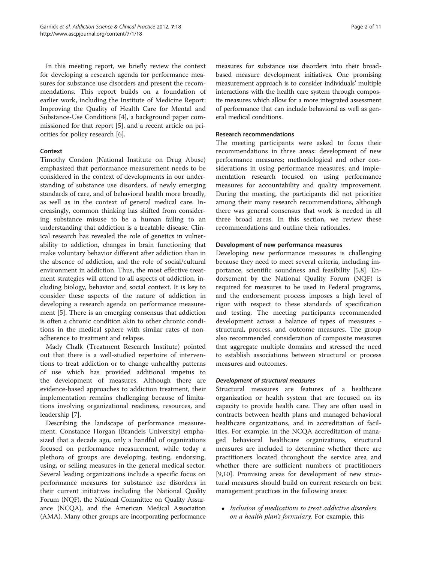In this meeting report, we briefly review the context for developing a research agenda for performance measures for substance use disorders and present the recommendations. This report builds on a foundation of earlier work, including the Institute of Medicine Report: Improving the Quality of Health Care for Mental and Substance-Use Conditions [[4\]](#page-9-0), a background paper commissioned for that report [\[5](#page-9-0)], and a recent article on priorities for policy research [[6\]](#page-9-0).

# Context

Timothy Condon (National Institute on Drug Abuse) emphasized that performance measurement needs to be considered in the context of developments in our understanding of substance use disorders, of newly emerging standards of care, and of behavioral health more broadly, as well as in the context of general medical care. Increasingly, common thinking has shifted from considering substance misuse to be a human failing to an understanding that addiction is a treatable disease. Clinical research has revealed the role of genetics in vulnerability to addiction, changes in brain functioning that make voluntary behavior different after addiction than in the absence of addiction, and the role of social/cultural environment in addiction. Thus, the most effective treatment strategies will attend to all aspects of addiction, including biology, behavior and social context. It is key to consider these aspects of the nature of addiction in developing a research agenda on performance measurement [\[5](#page-9-0)]. There is an emerging consensus that addiction is often a chronic condition akin to other chronic conditions in the medical sphere with similar rates of nonadherence to treatment and relapse.

Mady Chalk (Treatment Research Institute) pointed out that there is a well-studied repertoire of interventions to treat addiction or to change unhealthy patterns of use which has provided additional impetus to the development of measures. Although there are evidence-based approaches to addiction treatment, their implementation remains challenging because of limitations involving organizational readiness, resources, and leadership [\[7](#page-9-0)].

Describing the landscape of performance measurement, Constance Horgan (Brandeis University) emphasized that a decade ago, only a handful of organizations focused on performance measurement, while today a plethora of groups are developing, testing, endorsing, using, or selling measures in the general medical sector. Several leading organizations include a specific focus on performance measures for substance use disorders in their current initiatives including the National Quality Forum (NQF), the National Committee on Quality Assurance (NCQA), and the American Medical Association (AMA). Many other groups are incorporating performance

measures for substance use disorders into their broadbased measure development initiatives. One promising measurement approach is to consider individuals' multiple interactions with the health care system through composite measures which allow for a more integrated assessment of performance that can include behavioral as well as general medical conditions.

#### Research recommendations

The meeting participants were asked to focus their recommendations in three areas: development of new performance measures; methodological and other considerations in using performance measures; and implementation research focused on using performance measures for accountability and quality improvement. During the meeting, the participants did not prioritize among their many research recommendations, although there was general consensus that work is needed in all three broad areas. In this section, we review these recommendations and outline their rationales.

## Development of new performance measures

Developing new performance measures is challenging because they need to meet several criteria, including importance, scientific soundness and feasibility [[5,8\]](#page-9-0). Endorsement by the National Quality Forum (NQF) is required for measures to be used in Federal programs, and the endorsement process imposes a high level of rigor with respect to these standards of specification and testing. The meeting participants recommended development across a balance of types of measures structural, process, and outcome measures. The group also recommended consideration of composite measures that aggregate multiple domains and stressed the need to establish associations between structural or process measures and outcomes.

# Development of structural measures

Structural measures are features of a healthcare organization or health system that are focused on its capacity to provide health care. They are often used in contracts between health plans and managed behavioral healthcare organizations, and in accreditation of facilities. For example, in the NCQA accreditation of managed behavioral healthcare organizations, structural measures are included to determine whether there are practitioners located throughout the service area and whether there are sufficient numbers of practitioners [[9,10\]](#page-9-0). Promising areas for development of new structural measures should build on current research on best management practices in the following areas:

• Inclusion of medications to treat addictive disorders on a health plan's formulary. For example, this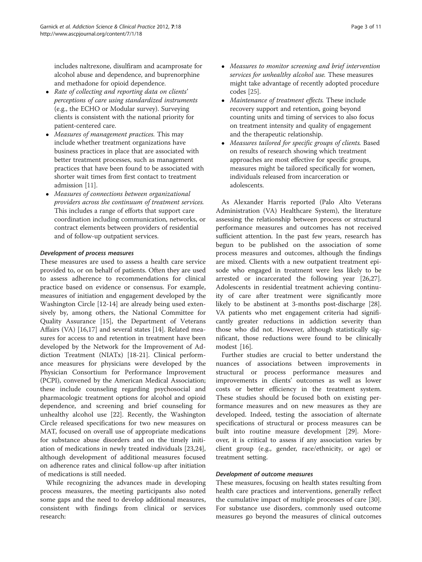includes naltrexone, disulfiram and acamprosate for alcohol abuse and dependence, and buprenorphine and methadone for opioid dependence.

- Rate of collecting and reporting data on clients' perceptions of care using standardized instruments (e.g., the ECHO or Modular survey). Surveying clients is consistent with the national priority for patient-centered care.
- Measures of management practices. This may include whether treatment organizations have business practices in place that are associated with better treatment processes, such as management practices that have been found to be associated with shorter wait times from first contact to treatment admission [[11](#page-9-0)].
- Measures of connections between organizational providers across the continuum of treatment services. This includes a range of efforts that support care coordination including communication, networks, or contract elements between providers of residential and of follow-up outpatient services.

# Development of process measures

These measures are used to assess a health care service provided to, or on behalf of patients. Often they are used to assess adherence to recommendations for clinical practice based on evidence or consensus. For example, measures of initiation and engagement developed by the Washington Circle [\[12](#page-9-0)-[14\]](#page-9-0) are already being used extensively by, among others, the National Committee for Quality Assurance [[15](#page-9-0)], the Department of Veterans Affairs (VA) [[16](#page-9-0),[17](#page-9-0)] and several states [[14](#page-9-0)]. Related measures for access to and retention in treatment have been developed by the Network for the Improvement of Addiction Treatment (NIATx) [[18-21](#page-9-0)]. Clinical performance measures for physicians were developed by the Physician Consortium for Performance Improvement (PCPI), convened by the American Medical Association; these include counseling regarding psychosocial and pharmacologic treatment options for alcohol and opioid dependence, and screening and brief counseling for unhealthy alcohol use [\[22](#page-9-0)]. Recently, the Washington Circle released specifications for two new measures on MAT, focused on overall use of appropriate medications for substance abuse disorders and on the timely initiation of medications in newly treated individuals [\[23,24](#page-9-0)], although development of additional measures focused on adherence rates and clinical follow-up after initiation of medications is still needed.

While recognizing the advances made in developing process measures, the meeting participants also noted some gaps and the need to develop additional measures, consistent with findings from clinical or services research:

- Measures to monitor screening and brief intervention services for unhealthy alcohol use. These measures might take advantage of recently adopted procedure codes [\[25\]](#page-9-0).
- Maintenance of treatment effects. These include recovery support and retention, going beyond counting units and timing of services to also focus on treatment intensity and quality of engagement and the therapeutic relationship.
- Measures tailored for specific groups of clients. Based on results of research showing which treatment approaches are most effective for specific groups, measures might be tailored specifically for women, individuals released from incarceration or adolescents.

As Alexander Harris reported (Palo Alto Veterans Administration (VA) Healthcare System), the literature assessing the relationship between process or structural performance measures and outcomes has not received sufficient attention. In the past few years, research has begun to be published on the association of some process measures and outcomes, although the findings are mixed. Clients with a new outpatient treatment episode who engaged in treatment were less likely to be arrested or incarcerated the following year [\[26,27](#page-9-0)]. Adolescents in residential treatment achieving continuity of care after treatment were significantly more likely to be abstinent at 3-months post-discharge [\[28](#page-9-0)]. VA patients who met engagement criteria had significantly greater reductions in addiction severity than those who did not. However, although statistically significant, those reductions were found to be clinically modest [[16](#page-9-0)].

Further studies are crucial to better understand the nuances of associations between improvements in structural or process performance measures and improvements in clients' outcomes as well as lower costs or better efficiency in the treatment system. These studies should be focused both on existing performance measures and on new measures as they are developed. Indeed, testing the association of alternate specifications of structural or process measures can be built into routine measure development [\[29](#page-9-0)]. Moreover, it is critical to assess if any association varies by client group (e.g., gender, race/ethnicity, or age) or treatment setting.

# Development of outcome measures

These measures, focusing on health states resulting from health care practices and interventions, generally reflect the cumulative impact of multiple processes of care [\[30](#page-9-0)]. For substance use disorders, commonly used outcome measures go beyond the measures of clinical outcomes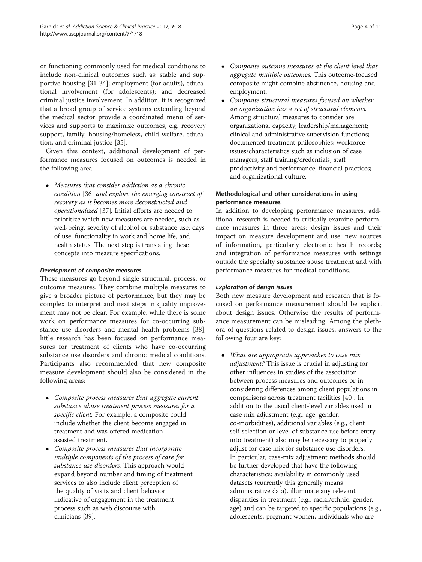or functioning commonly used for medical conditions to include non-clinical outcomes such as: stable and supportive housing [[31-34\]](#page-9-0); employment (for adults), educational involvement (for adolescents); and decreased criminal justice involvement. In addition, it is recognized that a broad group of service systems extending beyond the medical sector provide a coordinated menu of services and supports to maximize outcomes, e.g. recovery support, family, housing/homeless, child welfare, education, and criminal justice [[35\]](#page-9-0).

Given this context, additional development of performance measures focused on outcomes is needed in the following area:

• Measures that consider addiction as a chronic condition [[36\]](#page-9-0) and explore the emerging construct of recovery as it becomes more deconstructed and operationalized [\[37\]](#page-10-0). Initial efforts are needed to prioritize which new measures are needed, such as well-being, severity of alcohol or substance use, days of use, functionality in work and home life, and health status. The next step is translating these concepts into measure specifications.

# Development of composite measures

These measures go beyond single structural, process, or outcome measures. They combine multiple measures to give a broader picture of performance, but they may be complex to interpret and next steps in quality improvement may not be clear. For example, while there is some work on performance measures for co-occurring substance use disorders and mental health problems [\[38](#page-10-0)], little research has been focused on performance measures for treatment of clients who have co-occurring substance use disorders and chronic medical conditions. Participants also recommended that new composite measure development should also be considered in the following areas:

- Composite process measures that aggregate current substance abuse treatment process measures for a specific client. For example, a composite could include whether the client become engaged in treatment and was offered medication assisted treatment.
- Composite process measures that incorporate multiple components of the process of care for substance use disorders. This approach would expand beyond number and timing of treatment services to also include client perception of the quality of visits and client behavior indicative of engagement in the treatment process such as web discourse with clinicians [\[39\]](#page-10-0).
- Composite outcome measures at the client level that aggregate multiple outcomes. This outcome-focused composite might combine abstinence, housing and employment.
- Composite structural measures focused on whether an organization has a set of structural elements. Among structural measures to consider are organizational capacity; leadership/management; clinical and administrative supervision functions; documented treatment philosophies; workforce issues/characteristics such as inclusion of case managers, staff training/credentials, staff productivity and performance; financial practices; and organizational culture.

# Methodological and other considerations in using performance measures

In addition to developing performance measures, additional research is needed to critically examine performance measures in three areas: design issues and their impact on measure development and use; new sources of information, particularly electronic health records; and integration of performance measures with settings outside the specialty substance abuse treatment and with performance measures for medical conditions.

# Exploration of design issues

Both new measure development and research that is focused on performance measurement should be explicit about design issues. Otherwise the results of performance measurement can be misleading. Among the plethora of questions related to design issues, answers to the following four are key:

• What are appropriate approaches to case mix adjustment? This issue is crucial in adjusting for other influences in studies of the association between process measures and outcomes or in considering differences among client populations in comparisons across treatment facilities [[40\]](#page-10-0). In addition to the usual client-level variables used in case mix adjustment (e.g., age, gender, co-morbidities), additional variables (e.g., client self-selection or level of substance use before entry into treatment) also may be necessary to properly adjust for case mix for substance use disorders. In particular, case-mix adjustment methods should be further developed that have the following characteristics: availability in commonly used datasets (currently this generally means administrative data), illuminate any relevant disparities in treatment (e.g., racial/ethnic, gender, age) and can be targeted to specific populations (e.g., adolescents, pregnant women, individuals who are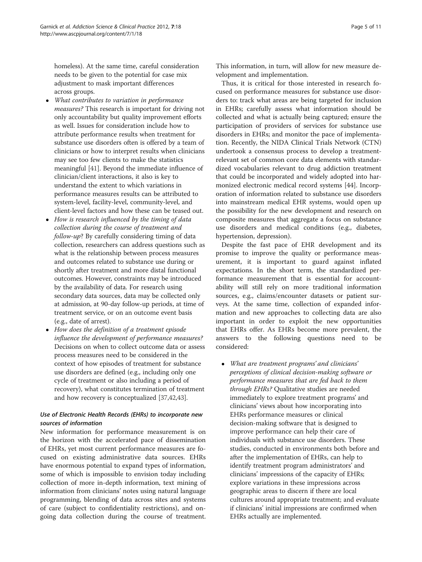homeless). At the same time, careful consideration needs to be given to the potential for case mix adjustment to mask important differences across groups.

- What contributes to variation in performance measures? This research is important for driving not only accountability but quality improvement efforts as well. Issues for consideration include how to attribute performance results when treatment for substance use disorders often is offered by a team of clinicians or how to interpret results when clinicians may see too few clients to make the statistics meaningful [[41](#page-10-0)]. Beyond the immediate influence of clinician/client interactions, it also is key to understand the extent to which variations in performance measures results can be attributed to system-level, facility-level, community-level, and client-level factors and how these can be teased out.
- How is research influenced by the timing of data collection during the course of treatment and follow-up? By carefully considering timing of data collection, researchers can address questions such as what is the relationship between process measures and outcomes related to substance use during or shortly after treatment and more distal functional outcomes. However, constraints may be introduced by the availability of data. For research using secondary data sources, data may be collected only at admission, at 90-day follow-up periods, at time of treatment service, or on an outcome event basis (e.g., date of arrest).
- How does the definition of a treatment episode influence the development of performance measures? Decisions on when to collect outcome data or assess process measures need to be considered in the context of how episodes of treatment for substance use disorders are defined (e.g., including only one cycle of treatment or also including a period of recovery), what constitutes termination of treatment and how recovery is conceptualized [[37](#page-10-0),[42,43\]](#page-10-0).

# Use of Electronic Health Records (EHRs) to incorporate new sources of information

New information for performance measurement is on the horizon with the accelerated pace of dissemination of EHRs, yet most current performance measures are focused on existing administrative data sources. EHRs have enormous potential to expand types of information, some of which is impossible to envision today including collection of more in-depth information, text mining of information from clinicians' notes using natural language programming, blending of data across sites and systems of care (subject to confidentiality restrictions), and ongoing data collection during the course of treatment.

This information, in turn, will allow for new measure development and implementation.

Thus, it is critical for those interested in research focused on performance measures for substance use disorders to: track what areas are being targeted for inclusion in EHRs; carefully assess what information should be collected and what is actually being captured; ensure the participation of providers of services for substance use disorders in EHRs; and monitor the pace of implementation. Recently, the NIDA Clinical Trials Network (CTN) undertook a consensus process to develop a treatmentrelevant set of common core data elements with standardized vocabularies relevant to drug addiction treatment that could be incorporated and widely adopted into harmonized electronic medical record systems [\[44](#page-10-0)]. Incorporation of information related to substance use disorders into mainstream medical EHR systems, would open up the possibility for the new development and research on composite measures that aggregate a focus on substance use disorders and medical conditions (e.g., diabetes, hypertension, depression).

Despite the fast pace of EHR development and its promise to improve the quality or performance measurement, it is important to guard against inflated expectations. In the short term, the standardized performance measurement that is essential for accountability will still rely on more traditional information sources, e.g., claims/encounter datasets or patient surveys. At the same time, collection of expanded information and new approaches to collecting data are also important in order to exploit the new opportunities that EHRs offer. As EHRs become more prevalent, the answers to the following questions need to be considered:

 What are treatment programs' and clinicians' perceptions of clinical decision-making software or performance measures that are fed back to them through EHRs? Qualitative studies are needed immediately to explore treatment programs' and clinicians' views about how incorporating into EHRs performance measures or clinical decision-making software that is designed to improve performance can help their care of individuals with substance use disorders. These studies, conducted in environments both before and after the implementation of EHRs, can help to identify treatment program administrators' and clinicians' impressions of the capacity of EHRs; explore variations in these impressions across geographic areas to discern if there are local cultures around appropriate treatment; and evaluate if clinicians' initial impressions are confirmed when EHRs actually are implemented.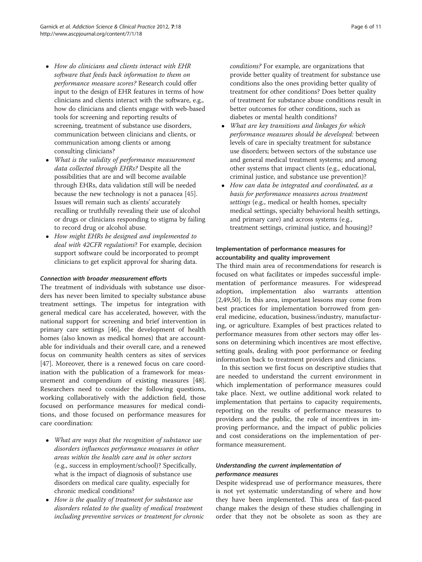- How do clinicians and clients interact with EHR software that feeds back information to them on performance measure scores? Research could offer input to the design of EHR features in terms of how clinicians and clients interact with the software, e.g., how do clinicians and clients engage with web-based tools for screening and reporting results of screening, treatment of substance use disorders, communication between clinicians and clients, or communication among clients or among consulting clinicians?
- What is the validity of performance measurement data collected through EHRs? Despite all the possibilities that are and will become available through EHRs, data validation still will be needed because the new technology is not a panacea [[45\]](#page-10-0). Issues will remain such as clients' accurately recalling or truthfully revealing their use of alcohol or drugs or clinicians responding to stigma by failing to record drug or alcohol abuse.
- How might EHRs be designed and implemented to deal with 42CFR regulations? For example, decision support software could be incorporated to prompt clinicians to get explicit approval for sharing data.

# Connection with broader measurement efforts

The treatment of individuals with substance use disorders has never been limited to specialty substance abuse treatment settings. The impetus for integration with general medical care has accelerated, however, with the national support for screening and brief intervention in primary care settings [[46](#page-10-0)], the development of health homes (also known as medical homes) that are accountable for individuals and their overall care, and a renewed focus on community health centers as sites of services [[47\]](#page-10-0). Moreover, there is a renewed focus on care coordination with the publication of a framework for measurement and compendium of existing measures [\[48](#page-10-0)]. Researchers need to consider the following questions, working collaboratively with the addiction field, those focused on performance measures for medical conditions, and those focused on performance measures for care coordination:

- What are ways that the recognition of substance use disorders influences performance measures in other areas within the health care and in other sectors (e.g., success in employment/school)? Specifically, what is the impact of diagnosis of substance use disorders on medical care quality, especially for chronic medical conditions?
- How is the quality of treatment for substance use disorders related to the quality of medical treatment including preventive services or treatment for chronic

conditions? For example, are organizations that provide better quality of treatment for substance use conditions also the ones providing better quality of treatment for other conditions? Does better quality of treatment for substance abuse conditions result in better outcomes for other conditions, such as diabetes or mental health conditions?

- What are key transitions and linkages for which performance measures should be developed: between levels of care in specialty treatment for substance use disorders; between sectors of the substance use and general medical treatment systems; and among other systems that impact clients (e.g., educational, criminal justice, and substance use prevention)?
- How can data be integrated and coordinated, as a basis for performance measures across treatment settings (e.g., medical or health homes, specialty medical settings, specialty behavioral health settings, and primary care) and across systems (e.g., treatment settings, criminal justice, and housing)?

# Implementation of performance measures for accountability and quality improvement

The third main area of recommendations for research is focused on what facilitates or impedes successful implementation of performance measures. For widespread adoption, implementation also warrants attention [[2,](#page-9-0)[49,50\]](#page-10-0). In this area, important lessons may come from best practices for implementation borrowed from general medicine, education, business/industry, manufacturing, or agriculture. Examples of best practices related to performance measures from other sectors may offer lessons on determining which incentives are most effective, setting goals, dealing with poor performance or feeding information back to treatment providers and clinicians.

In this section we first focus on descriptive studies that are needed to understand the current environment in which implementation of performance measures could take place. Next, we outline additional work related to implementation that pertains to capacity requirements, reporting on the results of performance measures to providers and the public, the role of incentives in improving performance, and the impact of public policies and cost considerations on the implementation of performance measurement.

# Understanding the current implementation of performance measures

Despite widespread use of performance measures, there is not yet systematic understanding of where and how they have been implemented. This area of fast-paced change makes the design of these studies challenging in order that they not be obsolete as soon as they are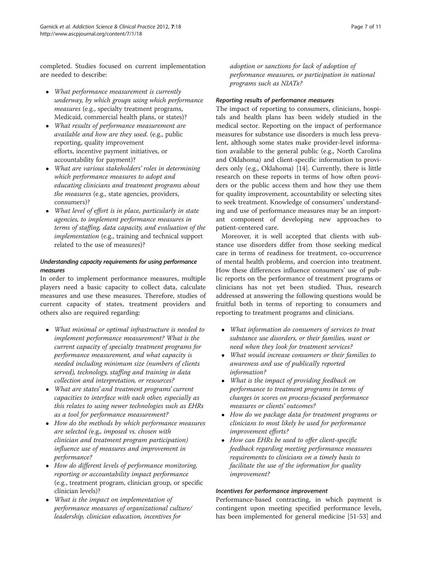completed. Studies focused on current implementation are needed to describe:

- What performance measurement is currently underway, by which groups using which performance measures (e.g., specialty treatment programs, Medicaid, commercial health plans, or states)?
- What results of performance measurement are available and how are they used. (e.g., public reporting, quality improvement efforts, incentive payment initiatives, or accountability for payment)?
- What are various stakeholders' roles in determining which performance measures to adopt and educating clinicians and treatment programs about the measures (e.g., state agencies, providers, consumers)?
- What level of effort is in place, particularly in state agencies, to implement performance measures in terms of staffing, data capacity, and evaluation of the implementation (e.g., training and technical support related to the use of measures)?

# Understanding capacity requirements for using performance measures

In order to implement performance measures, multiple players need a basic capacity to collect data, calculate measures and use these measures. Therefore, studies of current capacity of states, treatment providers and others also are required regarding:

- What minimal or optimal infrastructure is needed to implement performance measurement? What is the current capacity of specialty treatment programs for performance measurement, and what capacity is needed including minimum size (numbers of clients served), technology, staffing and training in data collection and interpretation, or resources?
- What are states' and treatment programs' current capacities to interface with each other, especially as this relates to using newer technologies such as EHRs as a tool for performance measurement?
- How do the methods by which performance measures are selected (e.g., imposed vs. chosen with clinician and treatment program participation) influence use of measures and improvement in performance?
- How do different levels of performance monitoring, reporting or accountability impact performance (e.g., treatment program, clinician group, or specific clinician levels)?
- What is the impact on implementation of performance measures of organizational culture/ leadership, clinician education, incentives for

adoption or sanctions for lack of adoption of performance measures, or participation in national programs such as NIATx?

# Reporting results of performance measures

The impact of reporting to consumers, clinicians, hospitals and health plans has been widely studied in the medical sector. Reporting on the impact of performance measures for substance use disorders is much less prevalent, although some states make provider-level information available to the general public (e.g., North Carolina and Oklahoma) and client-specific information to providers only (e.g., Oklahoma) [[14](#page-9-0)]. Currently, there is little research on these reports in terms of how often providers or the public access them and how they use them for quality improvement, accountability or selecting sites to seek treatment. Knowledge of consumers' understanding and use of performance measures may be an important component of developing new approaches to patient-centered care.

Moreover, it is well accepted that clients with substance use disorders differ from those seeking medical care in terms of readiness for treatment, co-occurrence of mental health problems, and coercion into treatment. How these differences influence consumers' use of public reports on the performance of treatment programs or clinicians has not yet been studied. Thus, research addressed at answering the following questions would be fruitful both in terms of reporting to consumers and reporting to treatment programs and clinicians.

- What information do consumers of services to treat substance use disorders, or their families, want or need when they look for treatment services?
- What would increase consumers or their families to awareness and use of publically reported information?
- What is the impact of providing feedback on performance to treatment programs in terms of changes in scores on process-focused performance measures or clients' outcomes?
- How do we package data for treatment programs or clinicians to most likely be used for performance improvement efforts?
- How can EHRs be used to offer client-specific feedback regarding meeting performance measures requirements to clinicians on a timely basis to facilitate the use of the information for quality improvement?

# Incentives for performance improvement

Performance-based contracting, in which payment is contingent upon meeting specified performance levels, has been implemented for general medicine [[51-53\]](#page-10-0) and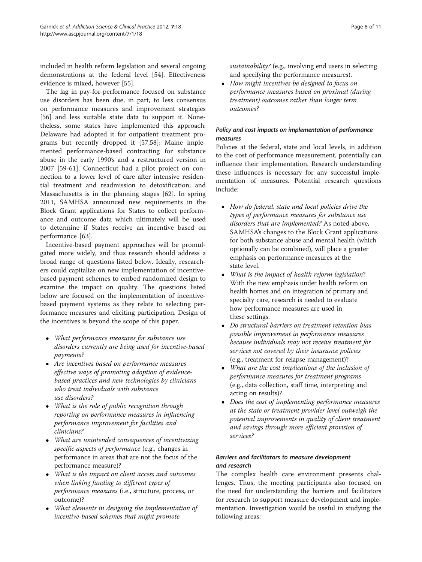included in health reform legislation and several ongoing demonstrations at the federal level [[54\]](#page-10-0). Effectiveness evidence is mixed, however [\[55\]](#page-10-0).

The lag in pay-for-performance focused on substance use disorders has been due, in part, to less consensus on performance measures and improvement strategies [[56\]](#page-10-0) and less suitable state data to support it. Nonetheless, some states have implemented this approach: Delaware had adopted it for outpatient treatment programs but recently dropped it [[57,58](#page-10-0)]; Maine implemented performance-based contracting for substance abuse in the early 1990's and a restructured version in 2007 [\[59-61](#page-10-0)]; Connecticut had a pilot project on connection to a lower level of care after intensive residential treatment and readmission to detoxification; and Massachusetts is in the planning stages [\[62](#page-10-0)]. In spring 2011, SAMHSA announced new requirements in the Block Grant applications for States to collect performance and outcome data which ultimately will be used to determine if States receive an incentive based on performance [[63](#page-10-0)].

Incentive-based payment approaches will be promulgated more widely, and thus research should address a broad range of questions listed below. Ideally, researchers could capitalize on new implementation of incentivebased payment schemes to embed randomized design to examine the impact on quality. The questions listed below are focused on the implementation of incentivebased payment systems as they relate to selecting performance measures and eliciting participation. Design of the incentives is beyond the scope of this paper.

- What performance measures for substance use disorders currently are being used for incentive-based payments?
- Are incentives based on performance measures effective ways of promoting adoption of evidencebased practices and new technologies by clinicians who treat individuals with substance use disorders?
- What is the role of public recognition through reporting on performance measures in influencing performance improvement for facilities and clinicians?
- What are unintended consequences of incentivizing specific aspects of performance (e.g., changes in performance in areas that are not the focus of the performance measure)?
- What is the impact on client access and outcomes when linking funding to different types of performance measures (i.e., structure, process, or outcome)?
- What elements in designing the implementation of incentive-based schemes that might promote

sustainability? (e.g., involving end users in selecting and specifying the performance measures).

• How might incentives be designed to focus on performance measures based on proximal (during treatment) outcomes rather than longer term outcomes?

# Policy and cost impacts on implementation of performance measures

Policies at the federal, state and local levels, in addition to the cost of performance measurement, potentially can influence their implementation. Research understanding these influences is necessary for any successful implementation of measures. Potential research questions include:

- How do federal, state and local policies drive the types of performance measures for substance use disorders that are implemented? As noted above, SAMHSA's changes to the Block Grant applications for both substance abuse and mental health (which optionally can be combined), will place a greater emphasis on performance measures at the state level.
- What is the impact of health reform legislation? With the new emphasis under health reform on health homes and on integration of primary and specialty care, research is needed to evaluate how performance measures are used in these settings.
- Do structural barriers on treatment retention bias possible improvement in performance measures because individuals may not receive treatment for services not covered by their insurance policies (e.g., treatment for relapse management)?
- What are the cost implications of the inclusion of performance measures for treatment programs (e.g., data collection, staff time, interpreting and acting on results)?
- Does the cost of implementing performance measures at the state or treatment provider level outweigh the potential improvements in quality of client treatment and savings through more efficient provision of services?

# Barriers and facilitators to measure development and research

The complex health care environment presents challenges. Thus, the meeting participants also focused on the need for understanding the barriers and facilitators for research to support measure development and implementation. Investigation would be useful in studying the following areas: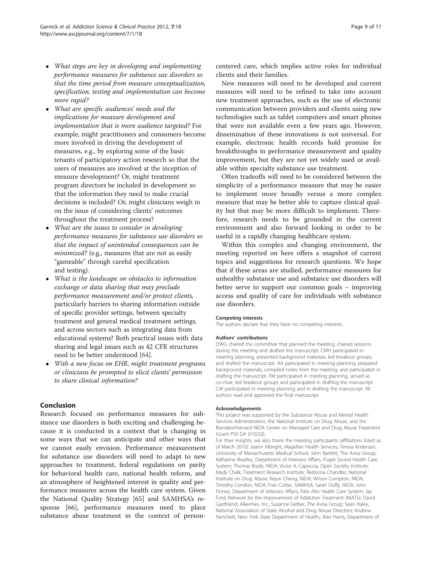- What steps are key in developing and implementing performance measures for substance use disorders so that the time period from measure conceptualization, specification, testing and implementation can become more rapid?
- What are specific audiences' needs and the implications for measure development and implementation that is more audience targeted? For example, might practitioners and consumers become more involved in driving the development of measures, e.g., by exploring some of the basic tenants of participatory action research so that the users of measures are involved at the inception of measure development? Or, might treatment program directors be included in development so that the information they need to make crucial decisions is included? Or, might clinicians weigh in on the issue of considering clients' outcomes throughout the treatment process?
- What are the issues to consider in developing performance measures for substance use disorders so that the impact of unintended consequences can be minimized? (e.g., measures that are not as easily "gameable" through careful specification and testing).
- What is the landscape on obstacles to information exchange or data sharing that may preclude performance measurement and/or protect clients, particularly barriers to sharing information outside of specific provider settings, between specialty treatment and general medical treatment settings, and across sectors such as integrating data from educational systems? Both practical issues with data sharing and legal issues such as 42 CFR structures need to be better understood [\[64\]](#page-10-0).
- With a new focus on EHR, might treatment programs or clinicians be prompted to elicit clients' permission to share clinical information?

# Conclusion

Research focused on performance measures for substance use disorders is both exciting and challenging because it is conducted in a context that is changing in some ways that we can anticipate and other ways that we cannot easily envision. Performance measurement for substance use disorders will need to adapt to new approaches to treatment, federal regulations on parity for behavioral health care, national health reform, and an atmosphere of heightened interest in quality and performance measures across the health care system. Given the National Quality Strategy [[65\]](#page-10-0) and SAMHSA's response [[66\]](#page-10-0), performance measures need to place substance abuse treatment in the context of personcentered care, which implies active roles for individual clients and their families.

New measures will need to be developed and current measures will need to be refined to take into account new treatment approaches, such as the use of electronic communication between providers and clients using new technologies such as tablet computers and smart phones that were not available even a few years ago. However, dissemination of these innovations is not universal. For example, electronic health records hold promise for breakthroughs in performance measurement and quality improvement, but they are not yet widely used or available within specialty substance use treatment.

Often tradeoffs will need to be considered between the simplicity of a performance measure that may be easier to implement more broadly versus a more complex measure that may be better able to capture clinical quality but that may be more difficult to implement. Therefore, research needs to be grounded in the current environment and also forward looking in order to be useful in a rapidly changing healthcare system.

Within this complex and changing environment, the meeting reported on here offers a snapshot of current topics and suggestions for research questions. We hope that if these areas are studied, performance measures for unhealthy substance use and substance use disorders will better serve to support our common goals – improving access and quality of care for individuals with substance use disorders.

#### Competing interests

The authors declare that they have no competing interests.

#### Authors' contributions

DWG chaired the committee that planned the meeting, chaired sessions during the meeting and drafted the manuscript. CMH participated in meeting planning, presented background materials, led breakout groups, and drafted the manuscript. AA participated in meeting planning, prepared background materials, compiled notes from the meeting, and participated in drafting the manuscript. FM participated in meeting planning, served as co-chair, led breakout groups and participated in drafting the manuscript. CW participated in meeting planning and in drafting the manuscript. All authors read and approved the final manuscript.

#### Acknowledgements

This project was supported by the Substance Abuse and Mental Health Services Administration, the National Institute on Drug Abuse, and the Brandeis/Harvard NIDA Center on Managed Care and Drug Abuse Treatment (Grant P50 DA 010233).

For their insights, we also thank the meeting participants (affiliations listed as of March 2010): Joann Albright, Magellan Health Services; Teresa Anderson, University of Massachusetts Medical School; John Bartlett, The Avisa Group; Katharine Bradley, Department of Veterans Affairs, Puget Sound Health Care System; Thomas Brady, NIDA; Victor A. Capoccia, Open Society Institute; Mady Chalk, Treatment Research Institute; Redonna Chandler, National Institute on Drug Abuse; Kejun Cheng, NIDA; Wilson Compton, NIDA; Timothy Condon, NIDA; Fran Cotter, SAMHSA; Sarah Duffy, NIDA; John Finney, Department of Veterans Affairs, Palo Alto Health Care System; Jay Ford, Network for the Improvement of Addiction Treatment (NIATx); David Gastfriend, Alkermes, Inc.; Suzanne Gelber, The Avisa Group; Sean Haley, National Association of State Alcohol and Drug Abuse Directors; Andrew Hanchett, New York State Department of Health;; Alex Harris, Department of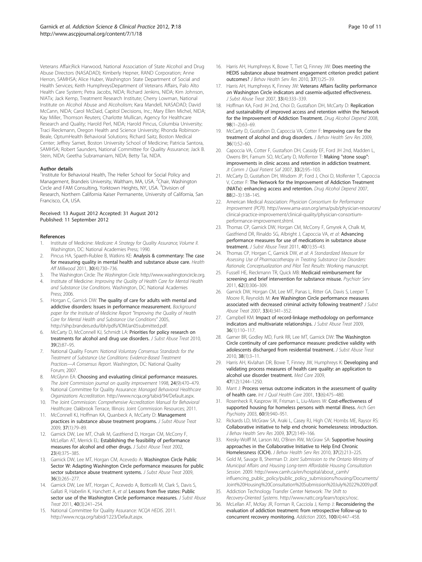<span id="page-9-0"></span>Veterans Affair;Rick Harwood, National Association of State Alcohol and Drug Abuse Directors (NASADAD); Kimberly Hepner, RAND Corporation; Anne Herron, SAMHSA; Alice Huber, Washington State Department of Social and Health Services; Keith HumphreysDepartment of Veterans Affairs, Palo Alto Health Care System; Petra Jacobs, NIDA; Richard Jenkins, NIDA; Kim Johnson, NIATx; Jack Kemp, Treatment Research Institute; Cherry Lowman, National Institute on Alcohol Abuse and Alcoholism; Kara Mandell, NASADAD; David McCann, NIDA; Carol McDaid, Capitol Decisions, Inc.; Mary Ellen Michel, NIDA; Kay Miller, Thomson Reuters; Charlotte Mullican, Agency for Healthcare Research and Quality; Harold Perl, NIDA; Harold Pincus, Columbia University; Traci Rieckmann, Oregon Health and Science University; Rhonda Robinson-Beale, OptumHealth Behavioral Solutions; Richard Saitz, Boston Medical Center; Jeffrey Samet, Boston University School of Medicine; Patricia Santora, SAMHSA; Robert Saunders, National Committee for Quality Assurance; Jack B. Stein, NIDA; Geetha Subramaniam, NIDA; Betty Tai, NIDA.

#### Author details

<sup>1</sup>Institute for Behavioral Health, The Heller School for Social Policy and Management, Brandeis University, Waltham, MA, USA. <sup>2</sup>Chair, Washington Circle and FAM Consulting, Yorktown Heights, NY, USA. <sup>3</sup>Division of Research, Northern California Kaiser Permanente, University of California, San Francisco, CA, USA.

#### Received: 13 August 2012 Accepted: 31 August 2012 Published: 11 September 2012

#### References

- Institute of Medicine: Medicare: A Strategy for Quality Assurance, Volume II. Washington, DC: National Academies Press; 1990.
- 2. Pincus HA, Spaeth-Rublee B, Watkins KE: Analysis & commentary: The case for measuring quality in mental health and substance abuse care. Health Aff Millwood 2011, 30(4):730–736.
- 3. The Washington Circle: The Washington Circle.<http://www.washingtoncircle.org>. 4. Institute of Medicine: Improving the Quality of Health Care for Mental Health
- and Substance Use Conditions. Washington, DC: National Academies Press; 2006.
- 5. Horgan C, Garnick DW: The quality of care for adults with mental and addictive disorders: Issues in performance measurement. Background paper for the Institute of Medicine Report "Improving the Quality of Health Care for Mental Health and Substance Use Conditions" 2005, <http://sihp.brandeis.edu/ibh/pdfs/IOMJan05submitted.pdf>.
- 6. McCarty D, McConnell KJ, Schmidt LA: Priorities for policy research on treatments for alcohol and drug use disorders. J Subst Abuse Treat 2010, 39(2):87–95.
- 7. National Quality Forum: National Voluntary Consensus Standards for the Treatment of Substance Use Conditions: Evidence-Based Treatment Practices—A Consensus Report. Washington, DC: National Quality Forum; 2007.
- 8. McGlynn EA: Choosing and evaluating clinical performance measures. The Joint Commission journal on quality improvement 1998, 24(9):470–479.
- 9. National Committee for Quality Assurance: Managed Behavioral Healthcare Organizations Accreditation.<http://www.ncqa.org/tabid/94/Default.aspx>.
- 10. The Joint Commission: Comprehensive Accreditation Manual for Behavioral Healthcare. Oakbrook Terrace, Illinois: Joint Commission Resources; 2011.
- 11. McConnell KJ, Hoffman KA, Quanbeck A, McCarty D: Management practices in substance abuse treatment programs. J Subst Abuse Treat 2009, 37(1):79–89.
- 12. Garnick DW, Lee MT, Chalk M, Gastfriend D, Horgan CM, McCorry F, McLellan AT, Merrick EL: Establishing the feasibility of performance measures for alcohol and other drugs. J Subst Abuse Treat 2002, 23(4):375–385.
- 13. Garnick DW, Lee MT, Horgan CM, Acevedo A: Washington Circle Public Sector W: Adapting Washington Circle performance measures for public sector substance abuse treatment systems. J Subst Abuse Treat 2009, 36(3):265–277.
- 14. Garnick DW, Lee MT, Horgan C, Acevedo A, Botticelli M, Clark S, Davis S, Gallati R, Haberlin K, Hanchett A, et al: Lessons from five states: Public sector use of the Washington Circle performance measures. J Subst Abuse Treat 2011, 40(3):241–254.
- 15. National Committee for Quality Assurance: NCQA HEDIS. 2011. [http://www.ncqa.org/tabid/1223/Default.aspx.](http://www.ncqa.org/tabid/1223/Default.aspx)
- 16. Harris AH, Humphreys K, Bowe T, Tiet Q, Finney JW: Does meeting the HEDIS substance abuse treatment engagement criterion predict patient outcomes? J Behav Health Serv Res 2010, 37(1):25–39.
- 17. Harris AH, Humphreys K, Finney JW: Veterans Affairs facility performance on Washington Circle indicators and casemix-adjusted effectiveness. J Subst Abuse Treat 2007, 33(4):333–339.
- 18. Hoffman KA, Ford JH 2nd, Choi D, Gustafson DH, McCarty D: Replication and sustainability of improved access and retention within the Network for the Improvement of Addiction Treatment. Drug Alcohol Depend 2008, 98(1–2):63–69.
- 19. McCarty D, Gustafson D, Capoccia VA, Cotter F: Improving care for the treatment of alcohol and drug disorders. J Behav Health Serv Res 2009, 36(1):52–60.
- 20. Capoccia VA, Cotter F, Gustafson DH, Cassidy EF, Ford JH 2nd, Madden L, Owens BH, Farnum SO, McCarty D, Molfenter T: Making "stone soup": improvements in clinic access and retention in addiction treatment. Jt Comm J Qual Patient Saf 2007, 33(2):95–103.
- 21. McCarty D, Gustafson DH, Wisdom JP, Ford J, Choi D, Molfenter T, Capoccia V, Cotter F: The Network for the Improvement of Addiction Treatment (NIATx): enhancing access and retention. Drug Alcohol Depend 2007, 88(2–3):138–145.
- 22. American Medical Association: Physician Consortium for Performance Improvement (PCPI). [http://www.ama-assn.org/ama/pub/physician-resources/](http://www.ama-assn.org/ama/pub/physician-resources/clinical-practice-improvement/clinical-quality/physician-consortium-performance-improvement.shtml) [clinical-practice-improvement/clinical-quality/physician-consortium](http://www.ama-assn.org/ama/pub/physician-resources/clinical-practice-improvement/clinical-quality/physician-consortium-performance-improvement.shtml)[performance-improvement.shtml.](http://www.ama-assn.org/ama/pub/physician-resources/clinical-practice-improvement/clinical-quality/physician-consortium-performance-improvement.shtml)
- 23. Thomas CP, Garnick DW, Horgan CM, McCorry F, Gmyrek A, Chalk M, Gastfriend DR, Rinaldo SG, Albright J, Capoccia VA, et al: Advancing performance measures for use of medications in substance abuse treatment. J Subst Abuse Treat 2011, 40(1):35-43.
- 24. Thomas CP, Horgan C, Garnick DW, et al: A Standardized Measure for Assessing Use of Pharmacotherapy in Treating Substance Use Disorders: Rationale, Conceptualization and Pilot Test Results: Working manuscript.
- 25. Fussell HE, Rieckmann TR, Quick MB: Medicaid reimbursement for screening and brief intervention for substance misuse. Psychiatr Serv 2011, 62(3):306–309.
- 26. Garnick DW, Horgan CM, Lee MT, Panas L, Ritter GA, Davis S, Leeper T, Moore R, Reynolds M: Are Washington Circle performance measures associated with decreased criminal activity following treatment? J Subst Abuse Treat 2007, 33(4):341–352.
- 27. Campbell KM: Impact of record-linkage methodology on performance indicators and multivariate relationships. J Subst Abuse Treat 2009, 36(1):110–117.
- 28. Garner BR, Godley MD, Funk RR, Lee MT, Garnick DW: The Washington Circle continuity of care performance measure: predictive validity with adolescents discharged from residential treatment. J Subst Abuse Treat 2010, 38(1):3–11.
- 29. Harris AH, Kivlahan DR, Bowe T, Finney JW, Humphreys K: Developing and validating process measures of health care quality: an application to alcohol use disorder treatment. Med Care 2009, 47(12):1244–1250.
- 30. Mant J: Process versus outcome indicators in the assessment of quality of health care. Int J Qual Health Care 2001, 13(6):475–480.
- 31. Rosenheck R, Kasprow W, Frisman L, Liu-Mares W: Cost-effectiveness of supported housing for homeless persons with mental illness. Arch Gen Psychiatry 2003, 60(9):940–951.
- 32. Rickards LD, McGraw SA, Araki L, Casey RJ, High CW, Hombs ME, Raysor RS: Collaborative initiative to help end chronic homelessness: introduction. J Behav Health Serv Res 2009, 37(2):149–166.
- 33. Kresky-Wolff M, Larson MJ, O'Brien RW, McGraw SA: Supportive housing approaches in the Collaborative Initiative to Help End Chronic Homelessness (CICH). J Behav Health Serv Res 2010, 37(2):213-225.
- 34. Gold M, Savage B, Sherman D: Joint Submission to the Ontario Ministry of Municipal Affairs and Housing Long-term Affordable Housing Consultation Session. 2009. [http://www.camh.ca/en/hospital/about\\_camh/](http://www.camh.ca/en/hospital/about_camh/influencing_public_policy/public_policy_submissions/housing/Documents/Joint%20Housing%20Consultation%20Submission%20July%2022%2009.pdf) [influencing\\_public\\_policy/public\\_policy\\_submissions/housing/Documents/](http://www.camh.ca/en/hospital/about_camh/influencing_public_policy/public_policy_submissions/housing/Documents/Joint%20Housing%20Consultation%20Submission%20July%2022%2009.pdf) [Joint%20Housing%20Consultation%20Submission%20July%2022%2009.pdf.](http://www.camh.ca/en/hospital/about_camh/influencing_public_policy/public_policy_submissions/housing/Documents/Joint%20Housing%20Consultation%20Submission%20July%2022%2009.pdf)
- 35. Addiction Technology Transfer Center Network: The Shift to Recovery-Oriented Systems.<http://www.nattc.org/learn/topics/rosc>.
- 36. McLellan AT, McKay JR, Forman R, Cacciola J, Kemp J: Reconsidering the evaluation of addiction treatment: from retrospective follow-up to concurrent recovery monitoring. Addiction 2005, 100(4):447–458.